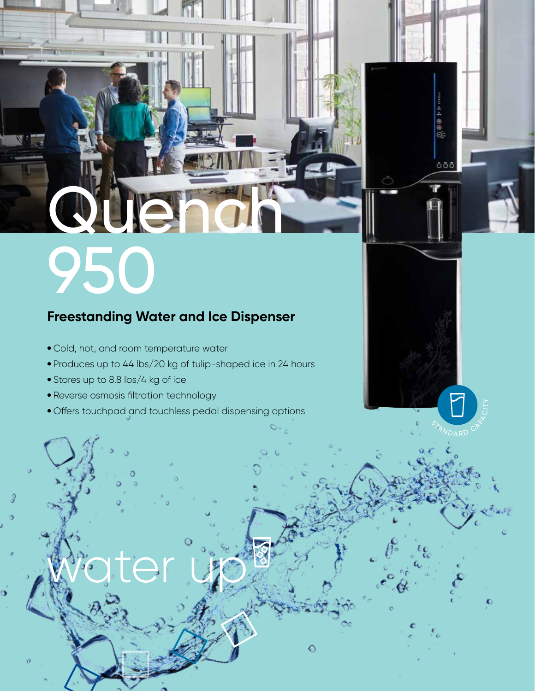# Quench 950

### **Freestanding Water and Ice Dispenser**

- Cold, hot, and room temperature water
- Produces up to 44 lbs/20 kg of tulip-shaped ice in 24 hours
- Stores up to 8.8 lbs/4 kg of ice
- Reverse osmosis filtration technology
- Offers touchpad and touchless pedal dispensing options

**STAN** D RD

 $\bullet$ 

 $\frac{1}{2}$ 

ööö

**ARACITY** 

Ō